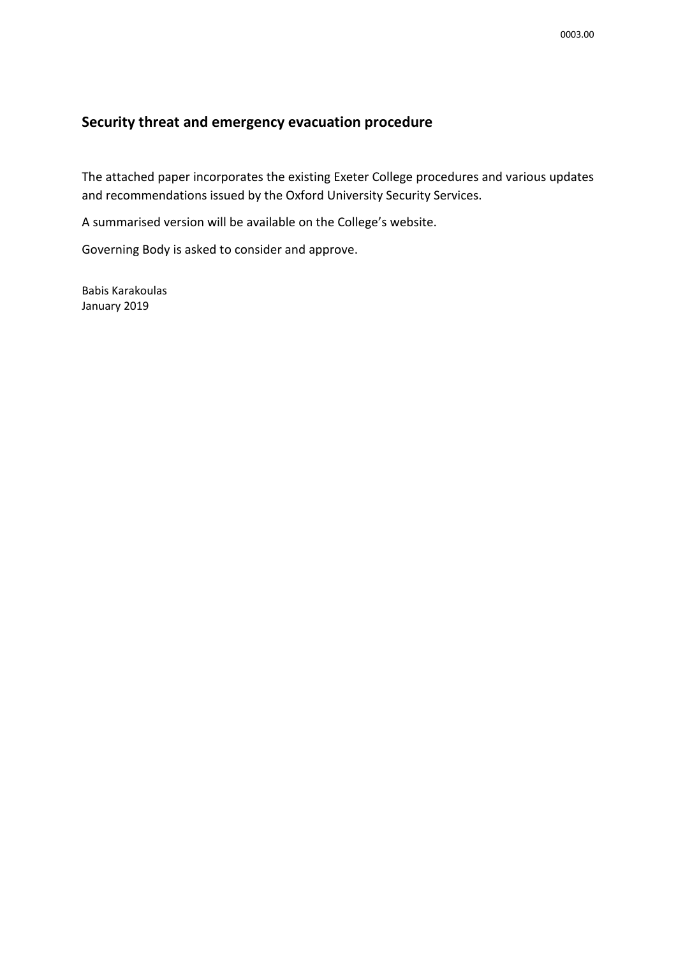## **Security threat and emergency evacuation procedure**

The attached paper incorporates the existing Exeter College procedures and various updates and recommendations issued by the Oxford University Security Services.

A summarised version will be available on the College's website.

Governing Body is asked to consider and approve.

Babis Karakoulas January 2019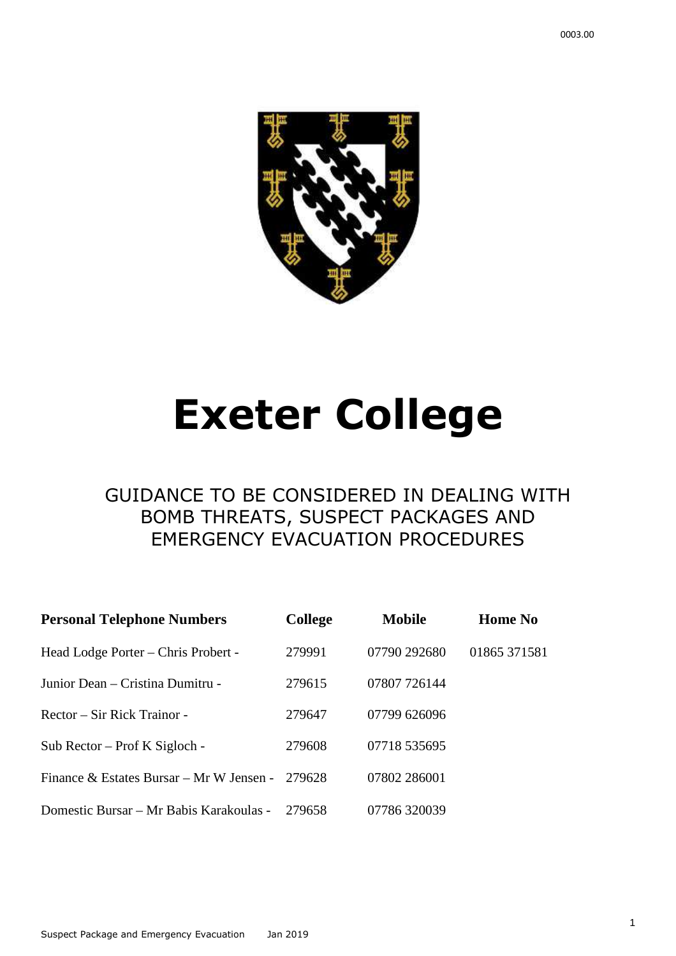

# **Exeter College**

# GUIDANCE TO BE CONSIDERED IN DEALING WITH BOMB THREATS, SUSPECT PACKAGES AND EMERGENCY EVACUATION PROCEDURES

| <b>Personal Telephone Numbers</b>        | <b>College</b> | <b>Mobile</b> | <b>Home No</b> |
|------------------------------------------|----------------|---------------|----------------|
| Head Lodge Porter – Chris Probert -      | 279991         | 07790 292680  | 01865 371581   |
| Junior Dean – Cristina Dumitru -         | 279615         | 07807 726144  |                |
| Rector – Sir Rick Trainor -              | 279647         | 07799 626096  |                |
| Sub Rector – Prof K Sigloch -            | 279608         | 07718 535695  |                |
| Finance & Estates Bursar – Mr W Jensen - | 279628         | 07802 286001  |                |
| Domestic Bursar – Mr Babis Karakoulas -  | 279658         | 07786320039   |                |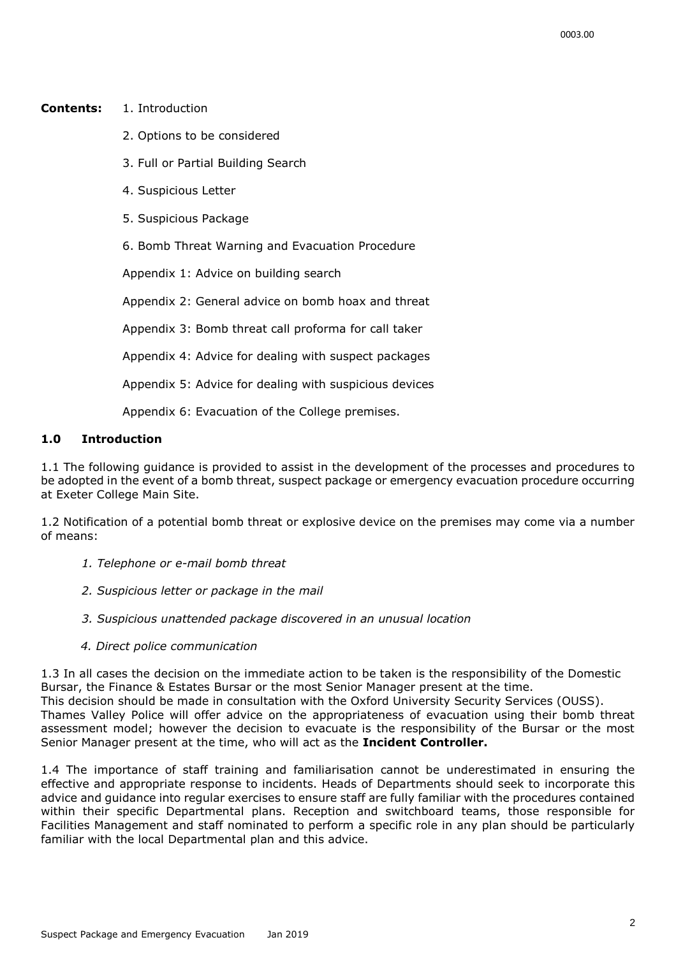#### **Contents:** 1. Introduction

- 2. Options to be considered
- 3. Full or Partial Building Search
- 4. Suspicious Letter
- 5. Suspicious Package

6. Bomb Threat Warning and Evacuation Procedure

Appendix 1: Advice on building search

Appendix 2: General advice on bomb hoax and threat

Appendix 3: Bomb threat call proforma for call taker

Appendix 4: Advice for dealing with suspect packages

Appendix 5: Advice for dealing with suspicious devices

Appendix 6: Evacuation of the College premises.

#### **1.0 Introduction**

1.1 The following guidance is provided to assist in the development of the processes and procedures to be adopted in the event of a bomb threat, suspect package or emergency evacuation procedure occurring at Exeter College Main Site.

1.2 Notification of a potential bomb threat or explosive device on the premises may come via a number of means:

- *1. Telephone or e-mail bomb threat*
- *2. Suspicious letter or package in the mail*
- *3. Suspicious unattended package discovered in an unusual location*
- *4. Direct police communication*

1.3 In all cases the decision on the immediate action to be taken is the responsibility of the Domestic Bursar, the Finance & Estates Bursar or the most Senior Manager present at the time. This decision should be made in consultation with the Oxford University Security Services (OUSS). Thames Valley Police will offer advice on the appropriateness of evacuation using their bomb threat assessment model; however the decision to evacuate is the responsibility of the Bursar or the most Senior Manager present at the time, who will act as the **Incident Controller.** 

1.4 The importance of staff training and familiarisation cannot be underestimated in ensuring the effective and appropriate response to incidents. Heads of Departments should seek to incorporate this advice and guidance into regular exercises to ensure staff are fully familiar with the procedures contained within their specific Departmental plans. Reception and switchboard teams, those responsible for Facilities Management and staff nominated to perform a specific role in any plan should be particularly familiar with the local Departmental plan and this advice.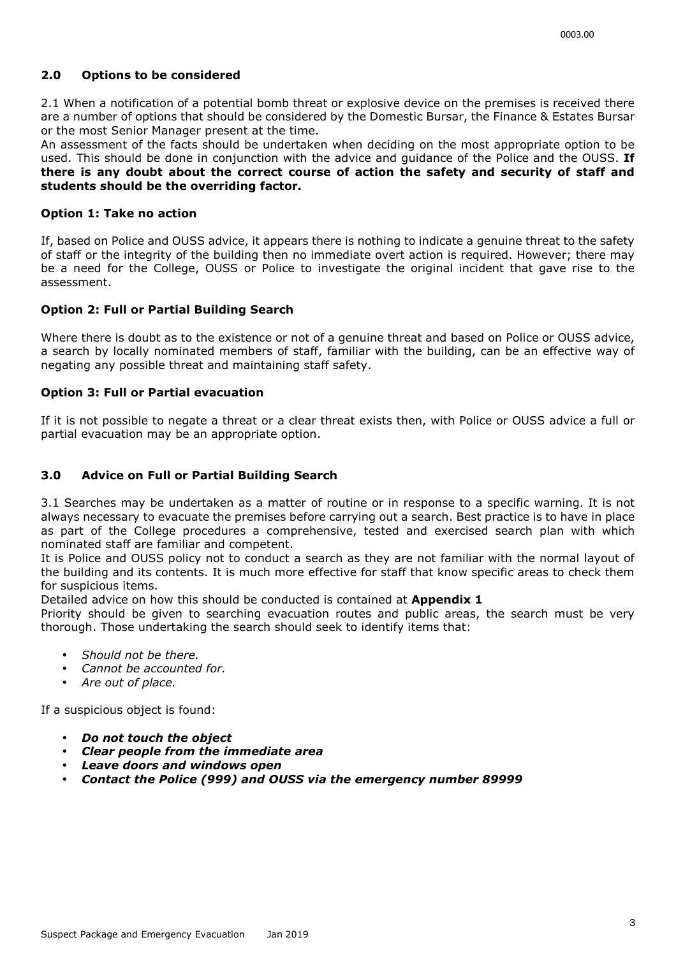## **2.0 Options to be considered**

2.1 When a notification of a potential bomb threat or explosive device on the premises is received there are a number of options that should be considered by the Domestic Bursar, the Finance & Estates Bursar or the most Senior Manager present at the time.

An assessment of the facts should be undertaken when deciding on the most appropriate option to be used. This should be done in conjunction with the advice and guidance of the Police and the OUSS. **If there is any doubt about the correct course of action the safety and security of staff and students should be the overriding factor.** 

#### **Option 1: Take no action**

If, based on Police and OUSS advice, it appears there is nothing to indicate a genuine threat to the safety of staff or the integrity of the building then no immediate overt action is required. However; there may be a need for the College, OUSS or Police to investigate the original incident that gave rise to the assessment.

#### **Option 2: Full or Partial Building Search**

Where there is doubt as to the existence or not of a genuine threat and based on Police or OUSS advice, a search by locally nominated members of staff, familiar with the building, can be an effective way of negating any possible threat and maintaining staff safety.

#### **Option 3: Full or Partial evacuation**

If it is not possible to negate a threat or a clear threat exists then, with Police or OUSS advice a full or partial evacuation may be an appropriate option.

#### **3.0 Advice on Full or Partial Building Search**

3.1 Searches may be undertaken as a matter of routine or in response to a specific warning. It is not always necessary to evacuate the premises before carrying out a search. Best practice is to have in place as part of the College procedures a comprehensive, tested and exercised search plan with which nominated staff are familiar and competent.

It is Police and OUSS policy not to conduct a search as they are not familiar with the normal layout of the building and its contents. It is much more effective for staff that know specific areas to check them for suspicious items.

Detailed advice on how this should be conducted is contained at **Appendix 1** 

Priority should be given to searching evacuation routes and public areas, the search must be very thorough. Those undertaking the search should seek to identify items that:

- *Should not be there.*
- *Cannot be accounted for.*
- *Are out of place.*

If a suspicious object is found:

- *Do not touch the object*
- *Clear people from the immediate area*
- *Leave doors and windows open*
- *Contact the Police (999) and OUSS via the emergency number 89999*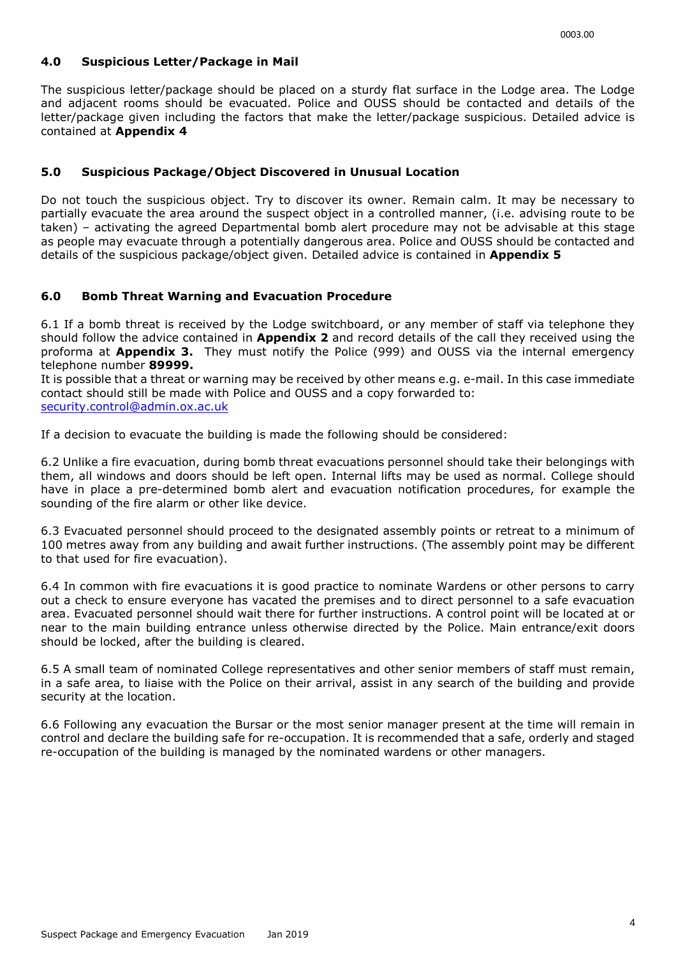## **4.0 Suspicious Letter/Package in Mail**

The suspicious letter/package should be placed on a sturdy flat surface in the Lodge area. The Lodge and adjacent rooms should be evacuated. Police and OUSS should be contacted and details of the letter/package given including the factors that make the letter/package suspicious. Detailed advice is contained at **Appendix 4** 

## **5.0 Suspicious Package/Object Discovered in Unusual Location**

Do not touch the suspicious object. Try to discover its owner. Remain calm. It may be necessary to partially evacuate the area around the suspect object in a controlled manner, (i.e. advising route to be taken) – activating the agreed Departmental bomb alert procedure may not be advisable at this stage as people may evacuate through a potentially dangerous area. Police and OUSS should be contacted and details of the suspicious package/object given. Detailed advice is contained in **Appendix 5**

## **6.0 Bomb Threat Warning and Evacuation Procedure**

6.1 If a bomb threat is received by the Lodge switchboard, or any member of staff via telephone they should follow the advice contained in **Appendix 2** and record details of the call they received using the proforma at **Appendix 3.** They must notify the Police (999) and OUSS via the internal emergency telephone number **89999.** 

It is possible that a threat or warning may be received by other means e.g. e-mail. In this case immediate contact should still be made with Police and OUSS and a copy forwarded to: security.control@admin.ox.ac.uk

If a decision to evacuate the building is made the following should be considered:

6.2 Unlike a fire evacuation, during bomb threat evacuations personnel should take their belongings with them, all windows and doors should be left open. Internal lifts may be used as normal. College should have in place a pre-determined bomb alert and evacuation notification procedures, for example the sounding of the fire alarm or other like device.

6.3 Evacuated personnel should proceed to the designated assembly points or retreat to a minimum of 100 metres away from any building and await further instructions. (The assembly point may be different to that used for fire evacuation).

6.4 In common with fire evacuations it is good practice to nominate Wardens or other persons to carry out a check to ensure everyone has vacated the premises and to direct personnel to a safe evacuation area. Evacuated personnel should wait there for further instructions. A control point will be located at or near to the main building entrance unless otherwise directed by the Police. Main entrance/exit doors should be locked, after the building is cleared.

6.5 A small team of nominated College representatives and other senior members of staff must remain, in a safe area, to liaise with the Police on their arrival, assist in any search of the building and provide security at the location.

6.6 Following any evacuation the Bursar or the most senior manager present at the time will remain in control and declare the building safe for re-occupation. It is recommended that a safe, orderly and staged re-occupation of the building is managed by the nominated wardens or other managers.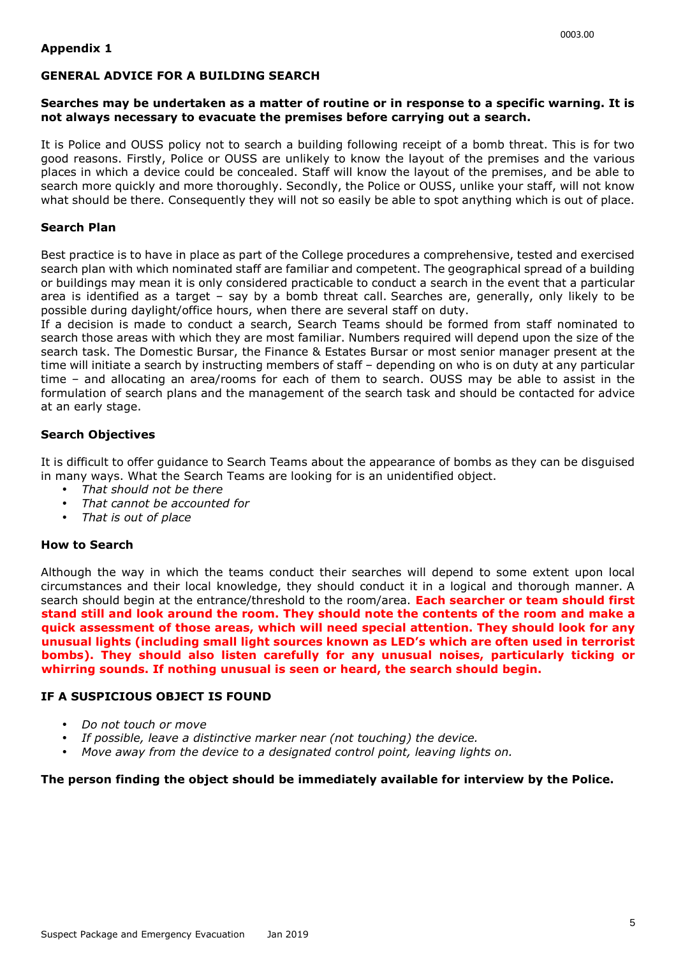#### **GENERAL ADVICE FOR A BUILDING SEARCH**

#### **Searches may be undertaken as a matter of routine or in response to a specific warning. It is not always necessary to evacuate the premises before carrying out a search.**

It is Police and OUSS policy not to search a building following receipt of a bomb threat. This is for two good reasons. Firstly, Police or OUSS are unlikely to know the layout of the premises and the various places in which a device could be concealed. Staff will know the layout of the premises, and be able to search more quickly and more thoroughly. Secondly, the Police or OUSS, unlike your staff, will not know what should be there. Consequently they will not so easily be able to spot anything which is out of place.

#### **Search Plan**

Best practice is to have in place as part of the College procedures a comprehensive, tested and exercised search plan with which nominated staff are familiar and competent. The geographical spread of a building or buildings may mean it is only considered practicable to conduct a search in the event that a particular area is identified as a target – say by a bomb threat call. Searches are, generally, only likely to be possible during daylight/office hours, when there are several staff on duty.

If a decision is made to conduct a search, Search Teams should be formed from staff nominated to search those areas with which they are most familiar. Numbers required will depend upon the size of the search task. The Domestic Bursar, the Finance & Estates Bursar or most senior manager present at the time will initiate a search by instructing members of staff – depending on who is on duty at any particular time – and allocating an area/rooms for each of them to search. OUSS may be able to assist in the formulation of search plans and the management of the search task and should be contacted for advice at an early stage.

#### **Search Objectives**

It is difficult to offer guidance to Search Teams about the appearance of bombs as they can be disguised in many ways. What the Search Teams are looking for is an unidentified object.

- *That should not be there*
- *That cannot be accounted for*
- *That is out of place*

#### **How to Search**

Although the way in which the teams conduct their searches will depend to some extent upon local circumstances and their local knowledge, they should conduct it in a logical and thorough manner. A search should begin at the entrance/threshold to the room/area. **Each searcher or team should first stand still and look around the room. They should note the contents of the room and make a quick assessment of those areas, which will need special attention. They should look for any unusual lights (including small light sources known as LED's which are often used in terrorist bombs). They should also listen carefully for any unusual noises, particularly ticking or whirring sounds. If nothing unusual is seen or heard, the search should begin.** 

#### **IF A SUSPICIOUS OBJECT IS FOUND**

- *Do not touch or move*
- *If possible, leave a distinctive marker near (not touching) the device.*
- *Move away from the device to a designated control point, leaving lights on.*

#### **The person finding the object should be immediately available for interview by the Police.**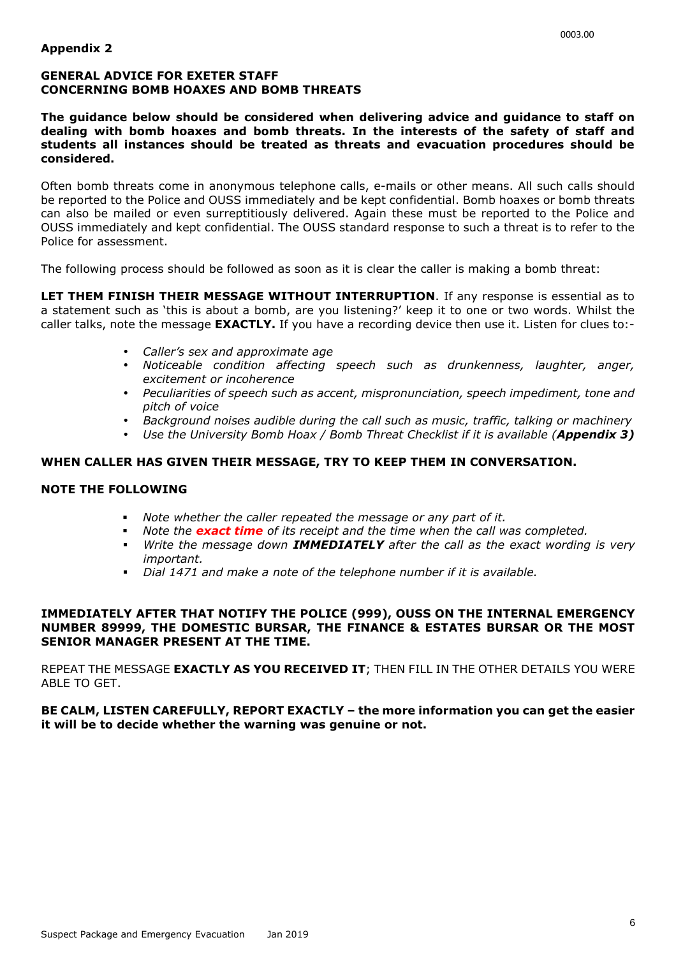#### **GENERAL ADVICE FOR EXETER STAFF CONCERNING BOMB HOAXES AND BOMB THREATS**

**The guidance below should be considered when delivering advice and guidance to staff on dealing with bomb hoaxes and bomb threats. In the interests of the safety of staff and students all instances should be treated as threats and evacuation procedures should be considered.** 

Often bomb threats come in anonymous telephone calls, e-mails or other means. All such calls should be reported to the Police and OUSS immediately and be kept confidential. Bomb hoaxes or bomb threats can also be mailed or even surreptitiously delivered. Again these must be reported to the Police and OUSS immediately and kept confidential. The OUSS standard response to such a threat is to refer to the Police for assessment.

The following process should be followed as soon as it is clear the caller is making a bomb threat:

**LET THEM FINISH THEIR MESSAGE WITHOUT INTERRUPTION**. If any response is essential as to a statement such as 'this is about a bomb, are you listening?' keep it to one or two words. Whilst the caller talks, note the message **EXACTLY.** If you have a recording device then use it. Listen for clues to:-

- *Caller's sex and approximate age*
- *Noticeable condition affecting speech such as drunkenness, laughter, anger, excitement or incoherence*
- *Peculiarities of speech such as accent, mispronunciation, speech impediment, tone and pitch of voice*
- *Background noises audible during the call such as music, traffic, talking or machinery*
- *Use the University Bomb Hoax / Bomb Threat Checklist if it is available (Appendix 3)*

#### **WHEN CALLER HAS GIVEN THEIR MESSAGE, TRY TO KEEP THEM IN CONVERSATION.**

#### **NOTE THE FOLLOWING**

- *Note whether the caller repeated the message or any part of it.*
- *Note the exact time of its receipt and the time when the call was completed.*
- *Write the message down IMMEDIATELY after the call as the exact wording is very important.*
- *Dial 1471 and make a note of the telephone number if it is available.*

#### **IMMEDIATELY AFTER THAT NOTIFY THE POLICE (999), OUSS ON THE INTERNAL EMERGENCY NUMBER 89999, THE DOMESTIC BURSAR, THE FINANCE & ESTATES BURSAR OR THE MOST SENIOR MANAGER PRESENT AT THE TIME.**

REPEAT THE MESSAGE **EXACTLY AS YOU RECEIVED IT**; THEN FILL IN THE OTHER DETAILS YOU WERE ABLE TO GET.

#### **BE CALM, LISTEN CAREFULLY, REPORT EXACTLY – the more information you can get the easier it will be to decide whether the warning was genuine or not.**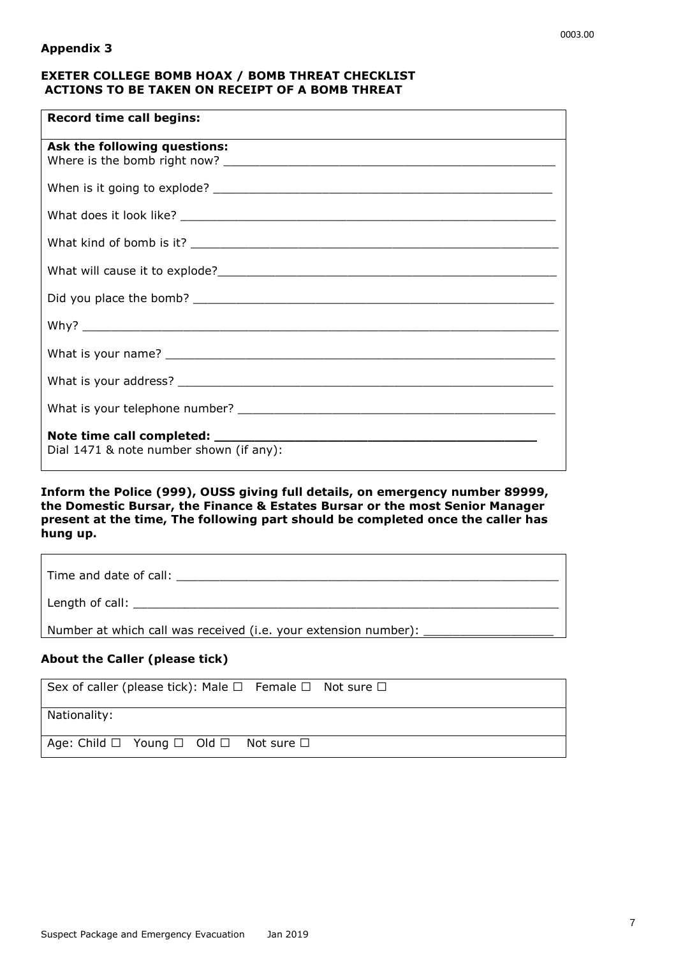| <b>Record time call begins:</b>                                                    |
|------------------------------------------------------------------------------------|
| Ask the following questions:                                                       |
|                                                                                    |
|                                                                                    |
|                                                                                    |
|                                                                                    |
|                                                                                    |
|                                                                                    |
|                                                                                    |
|                                                                                    |
|                                                                                    |
| Note time call completed: _____________<br>Dial 1471 & note number shown (if any): |

#### **Inform the Police (999), OUSS giving full details, on emergency number 89999, the Domestic Bursar, the Finance & Estates Bursar or the most Senior Manager present at the time, The following part should be completed once the caller has hung up.**

| Length of call: ______________________________                                    |
|-----------------------------------------------------------------------------------|
| Number at which call was received (i.e. your extension number): _________________ |

## **About the Caller (please tick)**

| Sex of caller (please tick): Male $\Box$ Female $\Box$ Not sure $\Box$ |  |  |
|------------------------------------------------------------------------|--|--|
| Nationality:                                                           |  |  |
| Age: Child $\Box$ Young $\Box$ Old $\Box$ Not sure $\Box$              |  |  |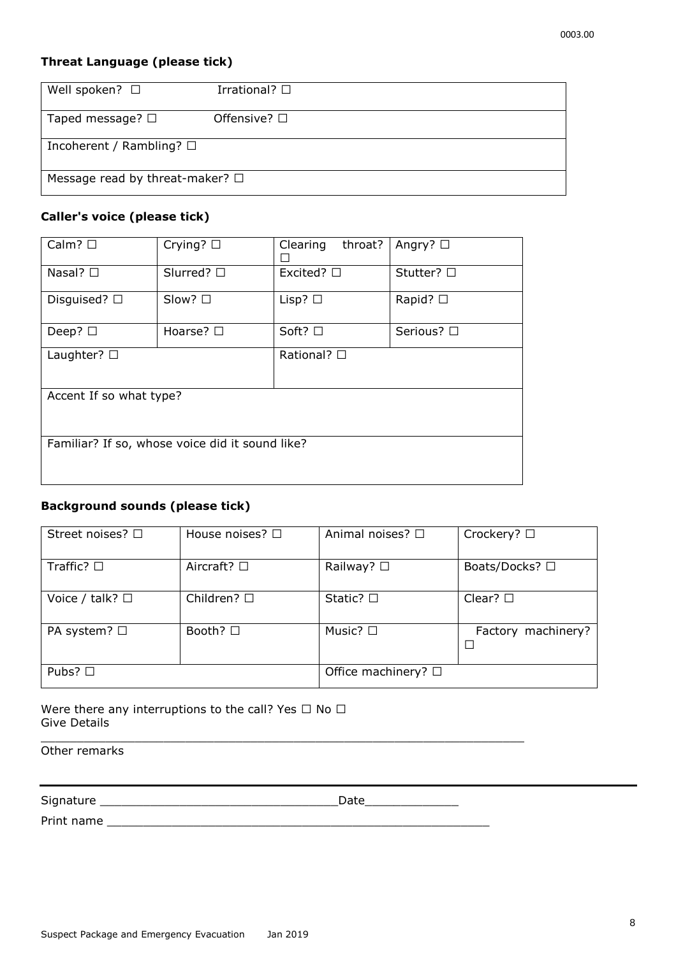## **Threat Language (please tick)**

| Well spoken? $\square$                  | Irrational? $\square$ |  |  |
|-----------------------------------------|-----------------------|--|--|
| Taped message? $\Box$                   | Offensive? $\Box$     |  |  |
| Incoherent / Rambling? $\square$        |                       |  |  |
| Message read by threat-maker? $\square$ |                       |  |  |

### **Caller's voice (please tick)**

| Calm? $\square$                                 | Crying? $\square$  | Clearing<br>throat? | Angry? $\square$ |  |
|-------------------------------------------------|--------------------|---------------------|------------------|--|
| Nasal? $\square$                                | Slurred? $\square$ | Excited? $\square$  | Stutter? □       |  |
| Disguised? $\square$                            | Slow? □            | Lisp? $\square$     | Rapid? $\square$ |  |
| Deep? $\square$                                 | Hoarse? $\square$  | Soft? □             | Serious? □       |  |
| Laughter? $\square$                             |                    | Rational? □         |                  |  |
| Accent If so what type?                         |                    |                     |                  |  |
| Familiar? If so, whose voice did it sound like? |                    |                     |                  |  |

## **Background sounds (please tick)**

| Street noises? $\Box$   | House noises? $\Box$ | Animal noises? □            | Crockery? $\Box$   |
|-------------------------|----------------------|-----------------------------|--------------------|
| Traffic? $\square$      | Aircraft? $\square$  | Railway? $\square$          | Boats/Docks? □     |
| Voice / talk? $\square$ | Children? $\square$  | Static? $\square$           | Clear? $\square$   |
| PA system? $\Box$       | Booth? $\square$     | Music? $\square$            | Factory machinery? |
| Pubs? $\Box$            |                      | Office machinery? $\square$ |                    |

 $\overline{\phantom{a}}$  , and the set of the set of the set of the set of the set of the set of the set of the set of the set of the set of the set of the set of the set of the set of the set of the set of the set of the set of the s

Were there any interruptions to the call? Yes  $\Box$  No  $\Box$ Give Details

Other remarks

Signature \_\_\_\_\_\_\_\_\_\_\_\_\_\_\_\_\_\_\_\_\_\_\_\_\_\_\_\_\_\_\_\_\_Date\_\_\_\_\_\_\_\_\_\_\_\_\_

Print name \_\_\_\_\_\_\_\_\_\_\_\_\_\_\_\_\_\_\_\_\_\_\_\_\_\_\_\_\_\_\_\_\_\_\_\_\_\_\_\_\_\_\_\_\_\_\_\_\_\_\_\_\_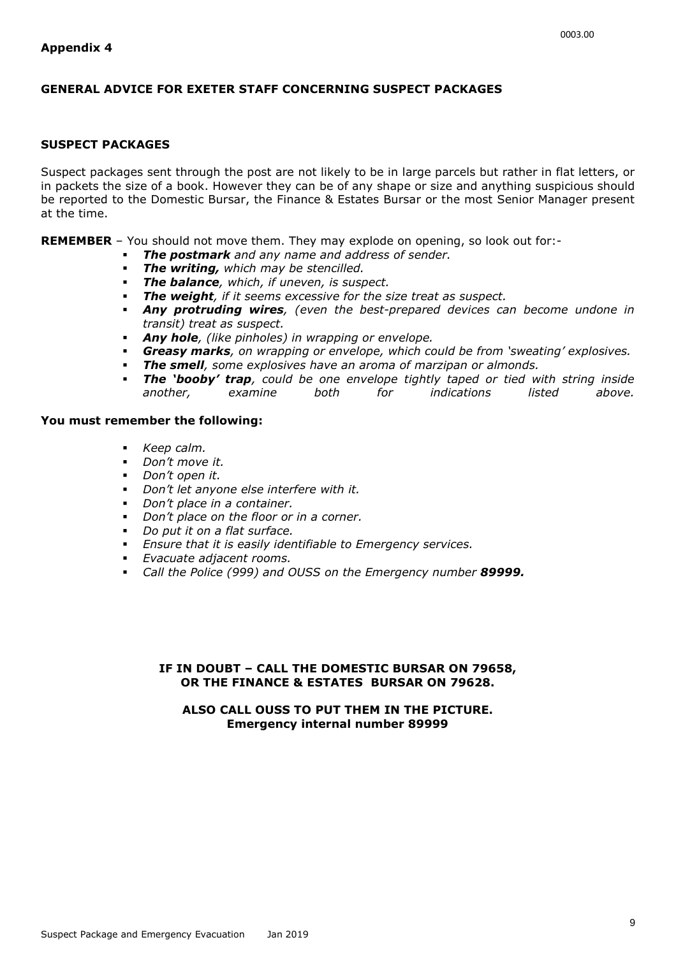#### **GENERAL ADVICE FOR EXETER STAFF CONCERNING SUSPECT PACKAGES**

#### **SUSPECT PACKAGES**

Suspect packages sent through the post are not likely to be in large parcels but rather in flat letters, or in packets the size of a book. However they can be of any shape or size and anything suspicious should be reported to the Domestic Bursar, the Finance & Estates Bursar or the most Senior Manager present at the time.

**REMEMBER** – You should not move them. They may explode on opening, so look out for:-

- *The postmark and any name and address of sender.*
- *The writing, which may be stencilled.*
- *The balance, which, if uneven, is suspect.*
- *The weight, if it seems excessive for the size treat as suspect.*
- *Any protruding wires, (even the best-prepared devices can become undone in transit) treat as suspect.*
- *Any hole, (like pinholes) in wrapping or envelope.*
- *Greasy marks, on wrapping or envelope, which could be from 'sweating' explosives.*
- *The smell, some explosives have an aroma of marzipan or almonds.*
- *The 'booby' trap, could be one envelope tightly taped or tied with string inside another, examine both for indications listed above.*

#### **You must remember the following:**

- *Keep calm.*
- *Don't move it.*
- *Don't open it.*
- *Don't let anyone else interfere with it.*
- *Don't place in a container.*
- *Don't place on the floor or in a corner.*
- *Do put it on a flat surface.*
- *Ensure that it is easily identifiable to Emergency services.*
- *Evacuate adjacent rooms.*
- *Call the Police (999) and OUSS on the Emergency number 89999.*

#### **IF IN DOUBT – CALL THE DOMESTIC BURSAR ON 79658, OR THE FINANCE & ESTATES BURSAR ON 79628.**

#### **ALSO CALL OUSS TO PUT THEM IN THE PICTURE. Emergency internal number 89999**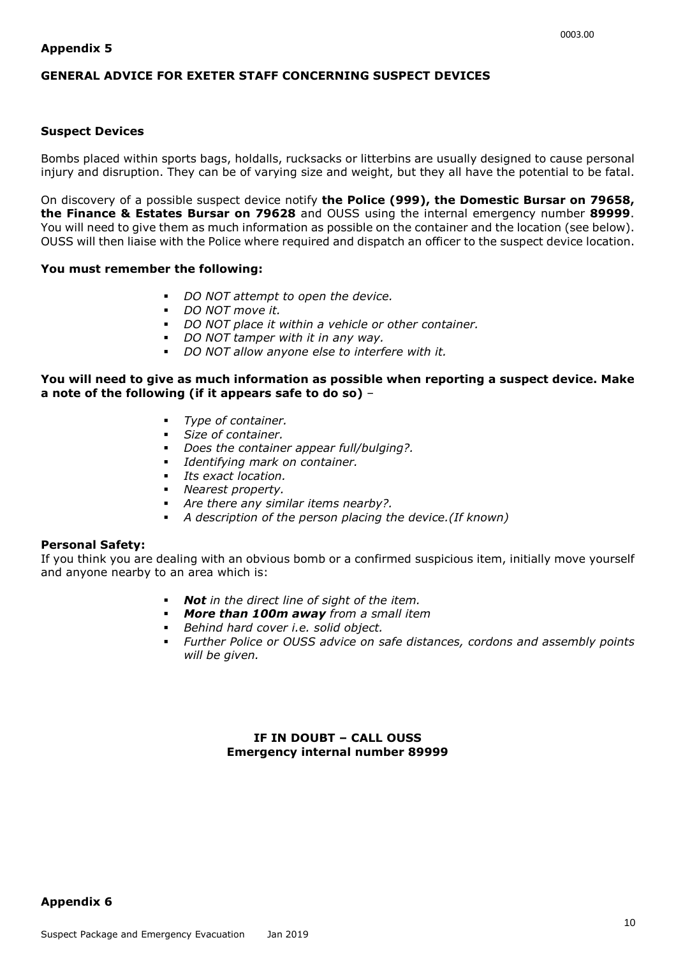#### **GENERAL ADVICE FOR EXETER STAFF CONCERNING SUSPECT DEVICES**

#### **Suspect Devices**

Bombs placed within sports bags, holdalls, rucksacks or litterbins are usually designed to cause personal injury and disruption. They can be of varying size and weight, but they all have the potential to be fatal.

On discovery of a possible suspect device notify **the Police (999), the Domestic Bursar on 79658, the Finance & Estates Bursar on 79628** and OUSS using the internal emergency number **89999**. You will need to give them as much information as possible on the container and the location (see below). OUSS will then liaise with the Police where required and dispatch an officer to the suspect device location.

#### **You must remember the following:**

- *DO NOT attempt to open the device.*
- *DO NOT move it.*
- *DO NOT place it within a vehicle or other container.*
- *DO NOT tamper with it in any way.*
- *DO NOT allow anyone else to interfere with it.*

#### **You will need to give as much information as possible when reporting a suspect device. Make a note of the following (if it appears safe to do so)** –

- *Type of container.*
- *Size of container.*
- *Does the container appear full/bulging?.*
- *Identifying mark on container.*
- *Its exact location.*
- *Nearest property.*
- *Are there any similar items nearby?.*
- *A description of the person placing the device.(If known)*

#### **Personal Safety:**

If you think you are dealing with an obvious bomb or a confirmed suspicious item, initially move yourself and anyone nearby to an area which is:

- *Not in the direct line of sight of the item.*
- *More than 100m away from a small item*
- *Behind hard cover i.e. solid object.*
- *Further Police or OUSS advice on safe distances, cordons and assembly points will be given.*

#### **IF IN DOUBT – CALL OUSS Emergency internal number 89999**